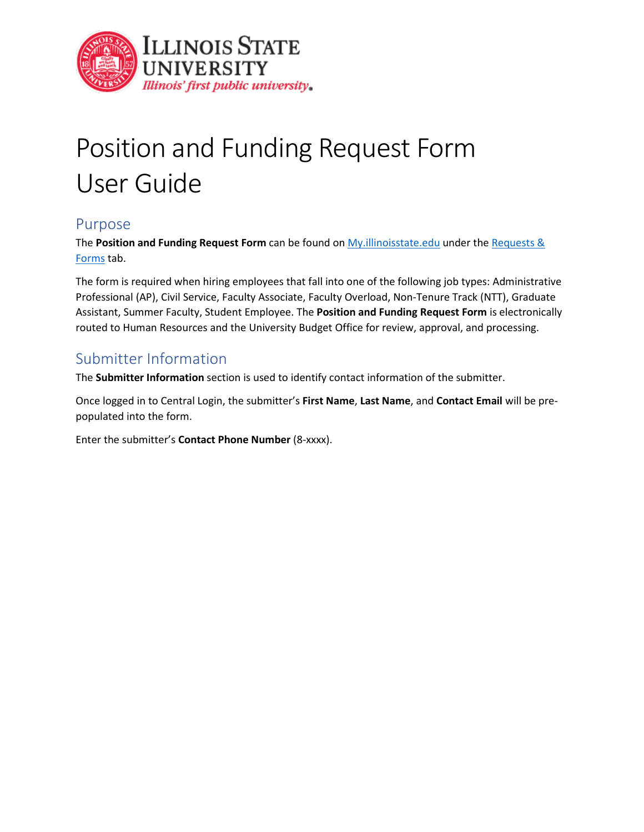

# Position and Funding Request Form User Guide

## Purpose

The **Position and Funding Request Form** can be found on My.illinoisstate.edu under the [Requests &](https://my.illinoisstate.edu/requests-forms)  [Forms](https://my.illinoisstate.edu/requests-forms) tab.

The form is required when hiring employees that fall into one of the following job types: Administrative Professional (AP), Civil Service, Faculty Associate, Faculty Overload, Non-Tenure Track (NTT), Graduate Assistant, Summer Faculty, Student Employee. The **Position and Funding Request Form** is electronically routed to Human Resources and the University Budget Office for review, approval, and processing.

## Submitter Information

The **Submitter Information** section is used to identify contact information of the submitter.

Once logged in to Central Login, the submitter's **First Name**, **Last Name**, and **Contact Email** will be prepopulated into the form.

Enter the submitter's **Contact Phone Number** (8-xxxx).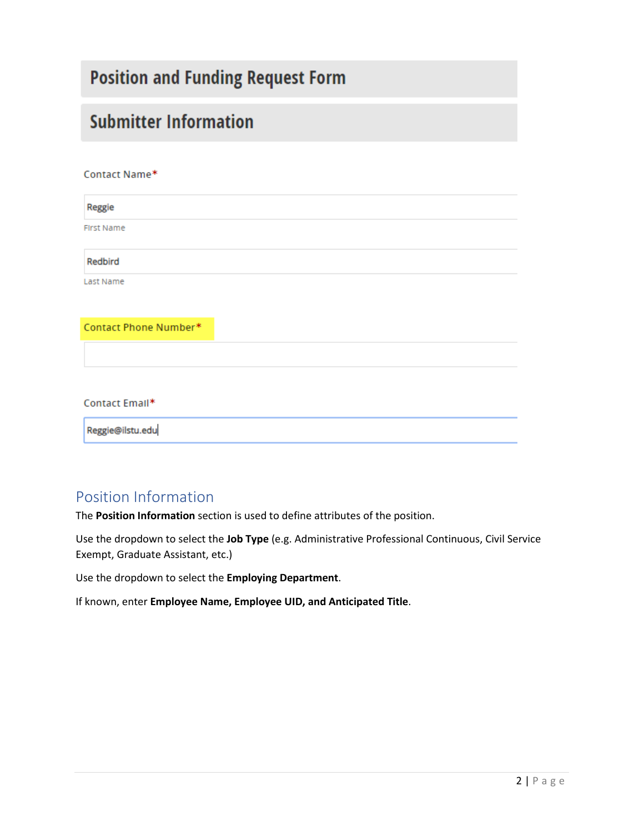## **Position and Funding Request Form**

## **Submitter Information**

#### Contact Name\*

Reggie **First Name** Redbird Last Name Contact Phone Number\*

#### Contact Email\*

Reggie@ilstu.edu

## Position Information

The **Position Information** section is used to define attributes of the position.

Use the dropdown to select the **Job Type** (e.g. Administrative Professional Continuous, Civil Service Exempt, Graduate Assistant, etc.)

Use the dropdown to select the **Employing Department**.

If known, enter **Employee Name, Employee UID, and Anticipated Title**.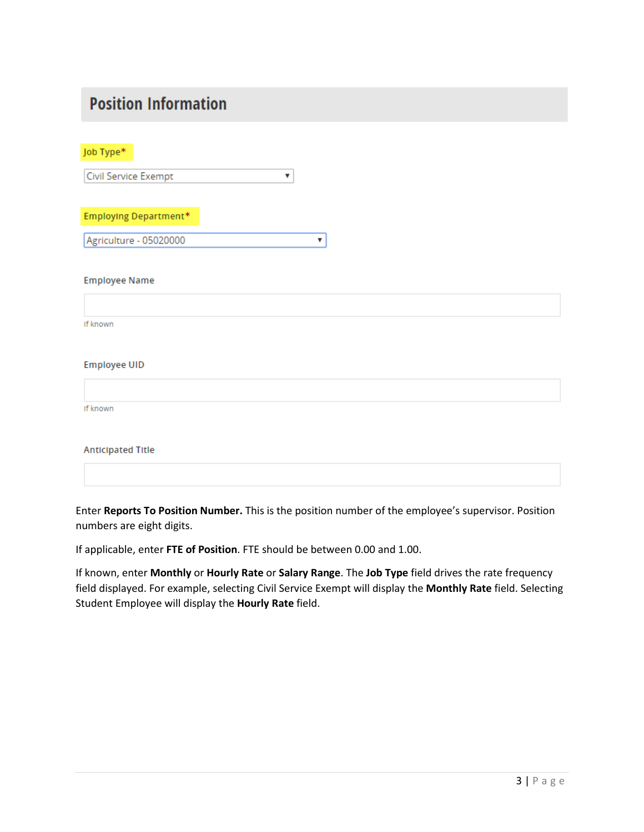## **Position Information**

Job Type\*

 $\overline{\mathbf{v}}$ Civil Service Exempt

**Employing Department\*** 

Agriculture - 05020000 ٧.

**Employee Name** 

If known

#### **Employee UID**

If known

**Anticipated Title** 

Enter **Reports To Position Number.** This is the position number of the employee's supervisor. Position numbers are eight digits.

If applicable, enter **FTE of Position**. FTE should be between 0.00 and 1.00.

If known, enter **Monthly** or **Hourly Rate** or **Salary Range**. The **Job Type** field drives the rate frequency field displayed. For example, selecting Civil Service Exempt will display the **Monthly Rate** field. Selecting Student Employee will display the **Hourly Rate** field.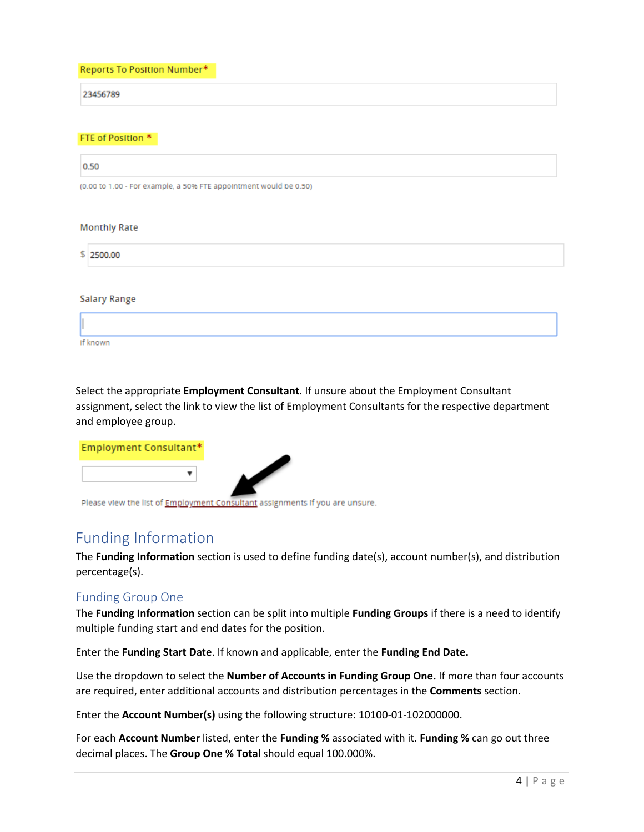Reports To Position Number\*

23456789

#### FTE of Position \*

| 0.50                                                              |
|-------------------------------------------------------------------|
| (0.00 to 1.00 - For example, a 50% FTE appointment would be 0.50) |
|                                                                   |
| <b>Monthly Rate</b>                                               |
| \$2500.00                                                         |
|                                                                   |

**Salary Range** 

| If known |  |  |
|----------|--|--|

Select the appropriate **Employment Consultant**. If unsure about the Employment Consultant assignment, select the link to view the list of Employment Consultants for the respective department and employee group.

| Employment Consultant* |  |
|------------------------|--|
|                        |  |
|                        |  |

Please view the list of **Employment Consultant** assignments if you are unsure.

## Funding Information

The **Funding Information** section is used to define funding date(s), account number(s), and distribution percentage(s).

#### Funding Group One

The **Funding Information** section can be split into multiple **Funding Groups** if there is a need to identify multiple funding start and end dates for the position.

Enter the **Funding Start Date**. If known and applicable, enter the **Funding End Date.** 

Use the dropdown to select the **Number of Accounts in Funding Group One.** If more than four accounts are required, enter additional accounts and distribution percentages in the **Comments** section.

Enter the **Account Number(s)** using the following structure: 10100-01-102000000.

For each **Account Number** listed, enter the **Funding %** associated with it. **Funding %** can go out three decimal places. The **Group One % Total** should equal 100.000%.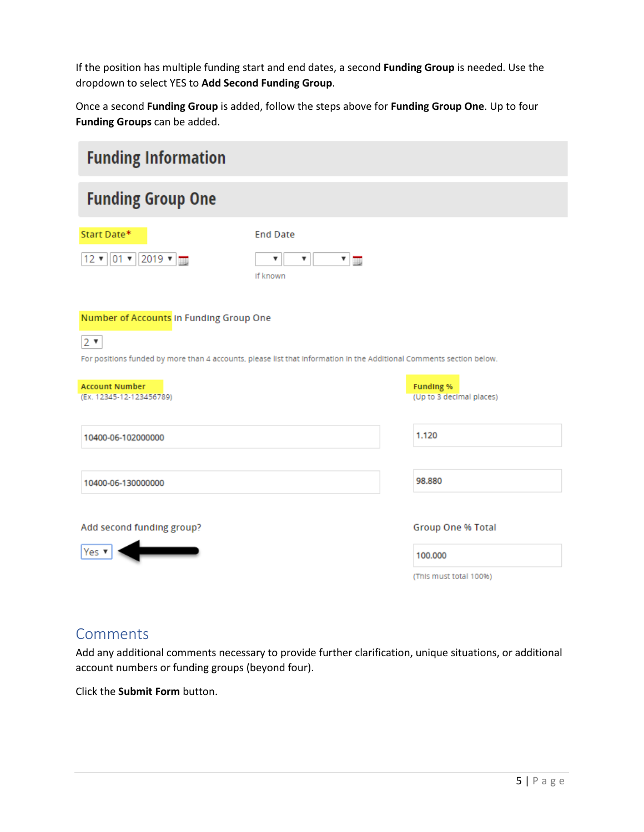If the position has multiple funding start and end dates, a second **Funding Group** is needed. Use the dropdown to select YES to **Add Second Funding Group**.

Once a second **Funding Group** is added, follow the steps above for **Funding Group One**. Up to four **Funding Groups** can be added.

| <b>Funding Information</b>                                                                                                         |                                                 |                                              |
|------------------------------------------------------------------------------------------------------------------------------------|-------------------------------------------------|----------------------------------------------|
| <b>Funding Group One</b>                                                                                                           |                                                 |                                              |
| Start Date*                                                                                                                        | <b>End Date</b>                                 |                                              |
| $12 \times 01 \times 2019 \times \frac{1}{100}$                                                                                    | ▼<br>$\mathbf{v}$ $\mathbf{m}$<br>▼<br>If known |                                              |
| Number of Accounts In Funding Group One                                                                                            |                                                 |                                              |
| $2 \times$<br>For positions funded by more than 4 accounts, please list that information in the Additional Comments section below. |                                                 |                                              |
| <b>Account Number</b><br>(Ex. 12345-12-123456789)                                                                                  |                                                 | <b>Funding %</b><br>(Up to 3 decimal places) |
| 10400-06-102000000                                                                                                                 |                                                 | 1.120                                        |
| 10400-06-130000000                                                                                                                 |                                                 | 98.880                                       |
| Add second funding group?                                                                                                          |                                                 | <b>Group One % Total</b>                     |
| Yes ▼                                                                                                                              |                                                 | 100,000                                      |
|                                                                                                                                    |                                                 | (This must total 100%)                       |

## Comments

Add any additional comments necessary to provide further clarification, unique situations, or additional account numbers or funding groups (beyond four).

Click the **Submit Form** button.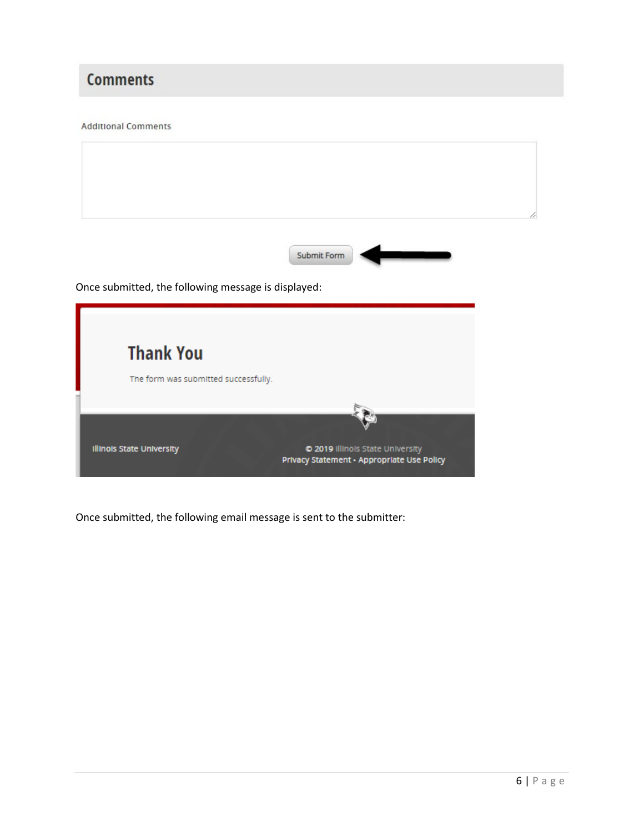## **Comments**

#### **Additional Comments**

**Illinois State University** 

|                                                     | Submit Form |
|-----------------------------------------------------|-------------|
| Once submitted, the following message is displayed: |             |
|                                                     |             |
|                                                     |             |
| <b>Thank You</b>                                    |             |

© 2019 Illinois State University<br>Privacy Statement - Appropriate Use Policy

Once submitted, the following email message is sent to the submitter: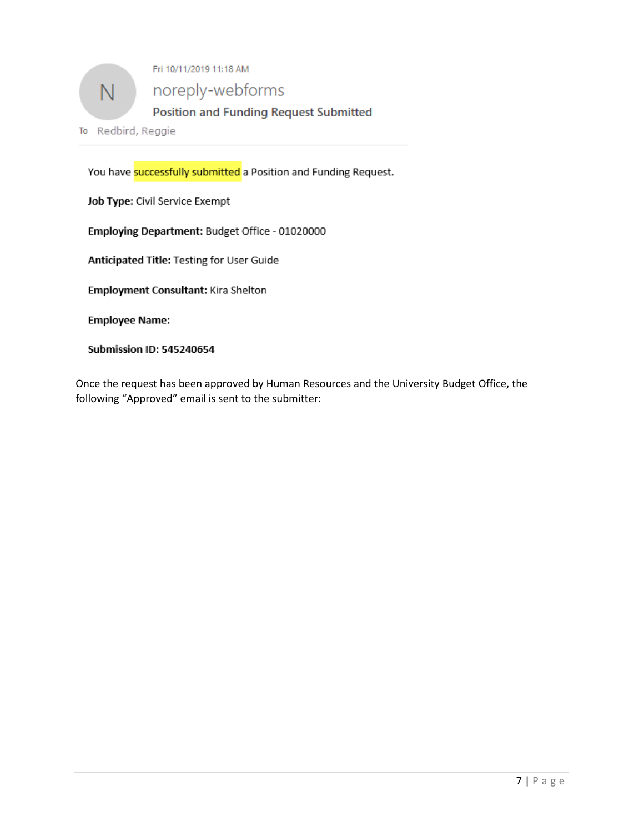

You have successfully submitted a Position and Funding Request.

Job Type: Civil Service Exempt

Employing Department: Budget Office - 01020000

Anticipated Title: Testing for User Guide

Employment Consultant: Kira Shelton

**Employee Name:** 

**Submission ID: 545240654** 

Once the request has been approved by Human Resources and the University Budget Office, the following "Approved" email is sent to the submitter: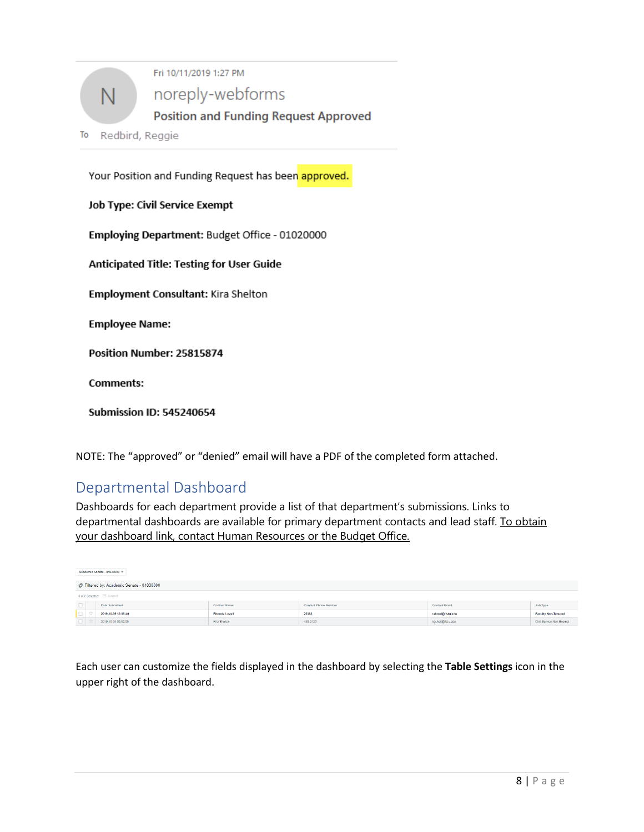

Your Position and Funding Request has been approved.

Job Type: Civil Service Exempt

Employing Department: Budget Office - 01020000

Anticipated Title: Testing for User Guide

Employment Consultant: Kira Shelton

**Employee Name:** 

Position Number: 25815874

**Comments:** 

**Submission ID: 545240654** 

NOTE: The "approved" or "denied" email will have a PDF of the completed form attached.

### Departmental Dashboard

Dashboards for each department provide a list of that department's submissions. Links to departmental dashboards are available for primary department contacts and lead staff. To obtain your dashboard link, contact Human Resources or the Budget Office.

|        | Academic Senate - 01830000 v              |                      |                             |                      |                            |
|--------|-------------------------------------------|----------------------|-----------------------------|----------------------|----------------------------|
|        | ○ Filtered by: Academic Senate - 01830000 |                      |                             |                      |                            |
|        | O of 2 Selected: Export                   |                      |                             |                      |                            |
| $\Box$ | Date Submitted                            | <b>Contact Name</b>  | <b>Contact Phone Number</b> | <b>Contact Email</b> | Job Type                   |
| O.     | 2019-10-09 15:05:40                       | <b>Rhonda Lovell</b> | 26368                       | ralovel@ilstu.edu    | <b>Faculty Non-Tenured</b> |
|        | 2019-10-04 09:02:06                       | Kira Shelton         | 438-2120                    | kgshelt@ilstu.edu    | Civil Service Non-Exempt   |

Each user can customize the fields displayed in the dashboard by selecting the **Table Settings** icon in the upper right of the dashboard.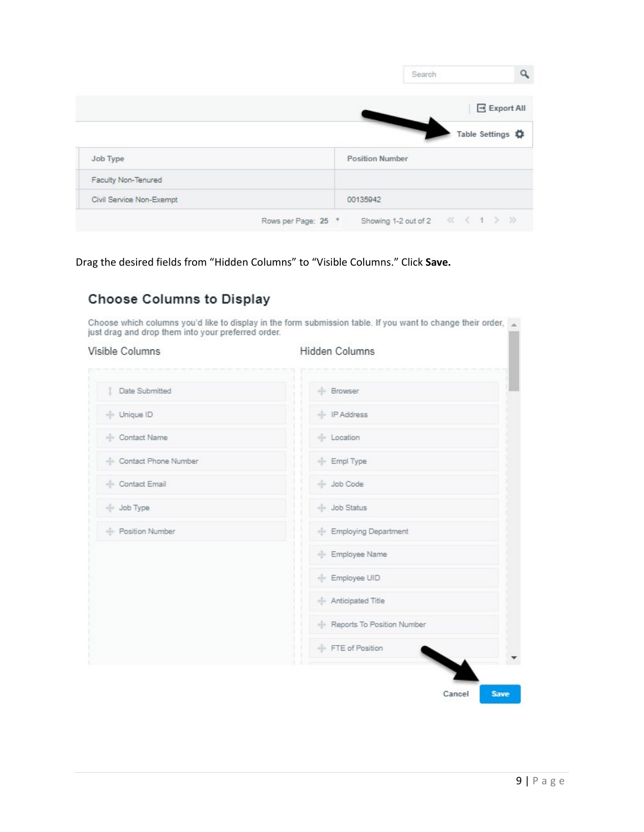|                     | Search                     |
|---------------------|----------------------------|
|                     | E Export All               |
|                     | Table Settings $\clubsuit$ |
| Job Type            | <b>Position Number</b>     |
|                     |                            |
| Faculty Non-Tenured |                            |

Drag the desired fields from "Hidden Columns" to "Visible Columns." Click **Save.**

### **Choose Columns to Display**

Choose which columns you'd like to display in the form submission table. If you want to change their order,  $\overline{a}$  just drag and drop them into your preferred order.

#### Visible Columns

Hidden Columns

| <b>1</b> Date Submitted | <b>Browser</b>             |
|-------------------------|----------------------------|
| + Unique ID             | + IP Address               |
| + Contact Name          | <b>Location</b>            |
| Contact Phone Number    | $+$ Empl Type              |
| + Contact Email         | + Job Code                 |
| + Job Type              | + Job Status               |
| - Position Number       | Employing Department       |
|                         | Employee Name              |
|                         | + Employee UID             |
|                         | Anticipated Title          |
|                         | Reports To Position Number |
|                         | + FTE of Position          |
|                         |                            |